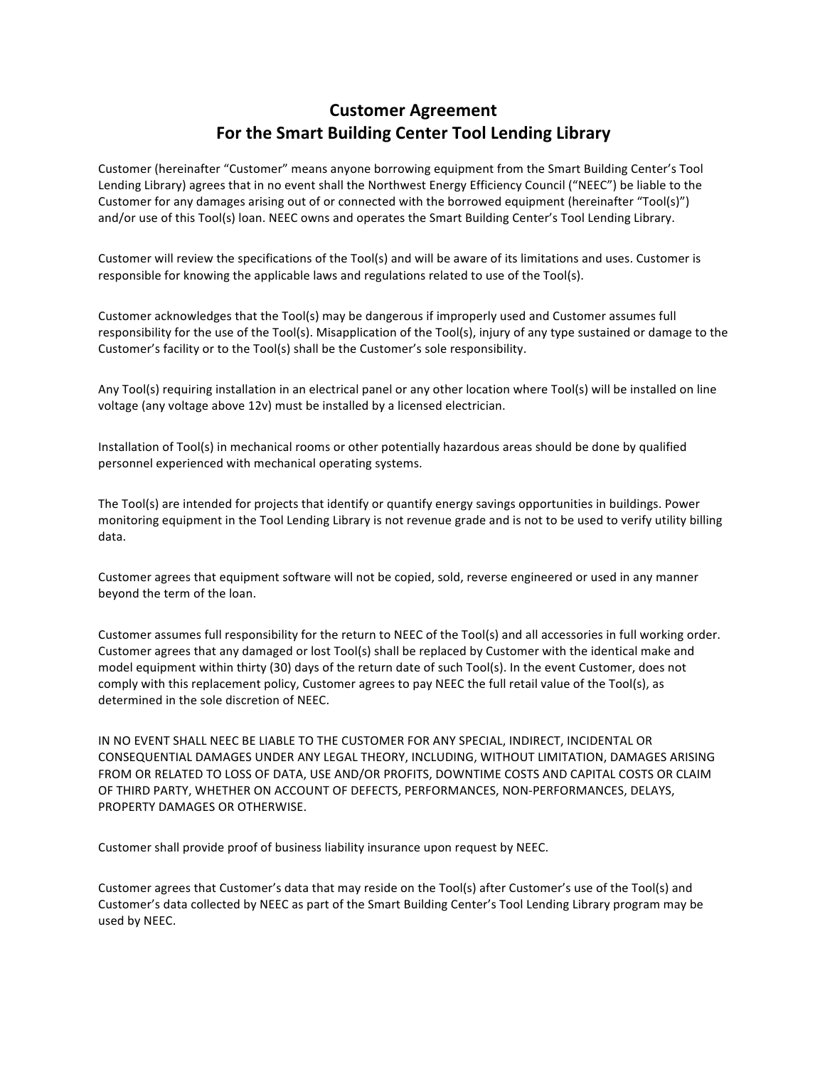## **Customer Agreement** For the Smart Building Center Tool Lending Library

Customer (hereinafter "Customer" means anyone borrowing equipment from the Smart Building Center's Tool Lending Library) agrees that in no event shall the Northwest Energy Efficiency Council ("NEEC") be liable to the Customer for any damages arising out of or connected with the borrowed equipment (hereinafter "Tool(s)") and/or use of this Tool(s) loan. NEEC owns and operates the Smart Building Center's Tool Lending Library.

Customer will review the specifications of the Tool(s) and will be aware of its limitations and uses. Customer is responsible for knowing the applicable laws and regulations related to use of the Tool(s).

Customer acknowledges that the Tool(s) may be dangerous if improperly used and Customer assumes full responsibility for the use of the Tool(s). Misapplication of the Tool(s), injury of any type sustained or damage to the Customer's facility or to the Tool(s) shall be the Customer's sole responsibility.

Any Tool(s) requiring installation in an electrical panel or any other location where Tool(s) will be installed on line voltage (any voltage above 12v) must be installed by a licensed electrician.

Installation of Tool(s) in mechanical rooms or other potentially hazardous areas should be done by qualified personnel experienced with mechanical operating systems.

The Tool(s) are intended for projects that identify or quantify energy savings opportunities in buildings. Power monitoring equipment in the Tool Lending Library is not revenue grade and is not to be used to verify utility billing data.

Customer agrees that equipment software will not be copied, sold, reverse engineered or used in any manner beyond the term of the loan.

Customer assumes full responsibility for the return to NEEC of the Tool(s) and all accessories in full working order. Customer agrees that any damaged or lost Tool(s) shall be replaced by Customer with the identical make and model equipment within thirty (30) days of the return date of such Tool(s). In the event Customer, does not comply with this replacement policy, Customer agrees to pay NEEC the full retail value of the Tool(s), as determined in the sole discretion of NEEC.

IN NO EVENT SHALL NEEC BE LIABLE TO THE CUSTOMER FOR ANY SPECIAL, INDIRECT, INCIDENTAL OR CONSEQUENTIAL DAMAGES UNDER ANY LEGAL THEORY, INCLUDING, WITHOUT LIMITATION, DAMAGES ARISING FROM OR RELATED TO LOSS OF DATA, USE AND/OR PROFITS, DOWNTIME COSTS AND CAPITAL COSTS OR CLAIM OF THIRD PARTY, WHETHER ON ACCOUNT OF DEFECTS, PERFORMANCES, NON-PERFORMANCES, DELAYS, PROPERTY DAMAGES OR OTHERWISE.

Customer shall provide proof of business liability insurance upon request by NEEC.

Customer agrees that Customer's data that may reside on the Tool(s) after Customer's use of the Tool(s) and Customer's data collected by NEEC as part of the Smart Building Center's Tool Lending Library program may be used by NEEC.